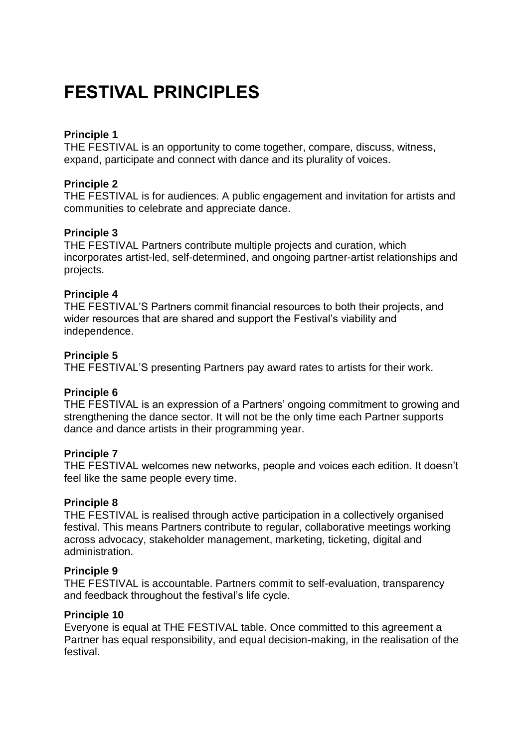## **FESTIVAL PRINCIPLES**

## **Principle 1**

THE FESTIVAL is an opportunity to come together, compare, discuss, witness, expand, participate and connect with dance and its plurality of voices.

## **Principle 2**

THE FESTIVAL is for audiences. A public engagement and invitation for artists and communities to celebrate and appreciate dance.

## **Principle 3**

THE FESTIVAL Partners contribute multiple projects and curation, which incorporates artist-led, self-determined, and ongoing partner-artist relationships and projects.

## **Principle 4**

THE FESTIVAL'S Partners commit financial resources to both their projects, and wider resources that are shared and support the Festival's viability and independence.

#### **Principle 5**

THE FESTIVAL'S presenting Partners pay award rates to artists for their work.

## **Principle 6**

THE FESTIVAL is an expression of a Partners' ongoing commitment to growing and strengthening the dance sector. It will not be the only time each Partner supports dance and dance artists in their programming year.

## **Principle 7**

THE FESTIVAL welcomes new networks, people and voices each edition. It doesn't feel like the same people every time.

#### **Principle 8**

THE FESTIVAL is realised through active participation in a collectively organised festival. This means Partners contribute to regular, collaborative meetings working across advocacy, stakeholder management, marketing, ticketing, digital and administration.

#### **Principle 9**

THE FESTIVAL is accountable. Partners commit to self-evaluation, transparency and feedback throughout the festival's life cycle.

#### **Principle 10**

Everyone is equal at THE FESTIVAL table. Once committed to this agreement a Partner has equal responsibility, and equal decision-making, in the realisation of the festival.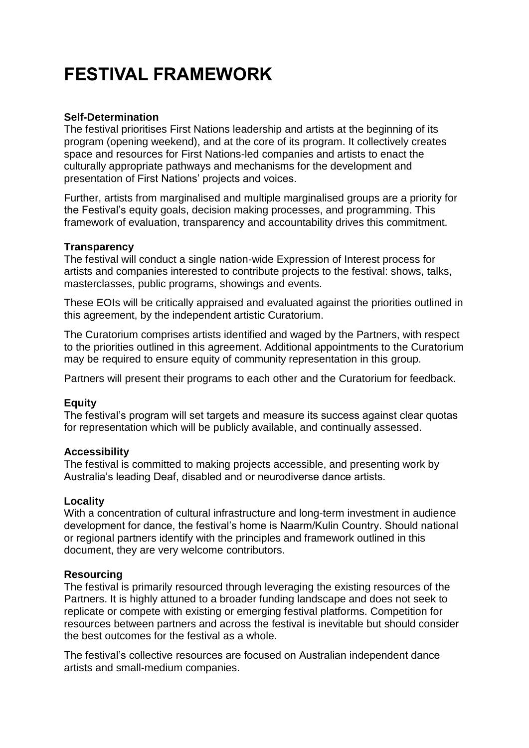# **FESTIVAL FRAMEWORK**

## **Self-Determination**

The festival prioritises First Nations leadership and artists at the beginning of its program (opening weekend), and at the core of its program. It collectively creates space and resources for First Nations-led companies and artists to enact the culturally appropriate pathways and mechanisms for the development and presentation of First Nations' projects and voices.

Further, artists from marginalised and multiple marginalised groups are a priority for the Festival's equity goals, decision making processes, and programming. This framework of evaluation, transparency and accountability drives this commitment.

## **Transparency**

The festival will conduct a single nation-wide Expression of Interest process for artists and companies interested to contribute projects to the festival: shows, talks, masterclasses, public programs, showings and events.

These EOIs will be critically appraised and evaluated against the priorities outlined in this agreement, by the independent artistic Curatorium.

The Curatorium comprises artists identified and waged by the Partners, with respect to the priorities outlined in this agreement. Additional appointments to the Curatorium may be required to ensure equity of community representation in this group.

Partners will present their programs to each other and the Curatorium for feedback.

## **Equity**

The festival's program will set targets and measure its success against clear quotas for representation which will be publicly available, and continually assessed.

## **Accessibility**

The festival is committed to making projects accessible, and presenting work by Australia's leading Deaf, disabled and or neurodiverse dance artists.

## **Locality**

With a concentration of cultural infrastructure and long-term investment in audience development for dance, the festival's home is Naarm/Kulin Country. Should national or regional partners identify with the principles and framework outlined in this document, they are very welcome contributors.

## **Resourcing**

The festival is primarily resourced through leveraging the existing resources of the Partners. It is highly attuned to a broader funding landscape and does not seek to replicate or compete with existing or emerging festival platforms. Competition for resources between partners and across the festival is inevitable but should consider the best outcomes for the festival as a whole.

The festival's collective resources are focused on Australian independent dance artists and small-medium companies.